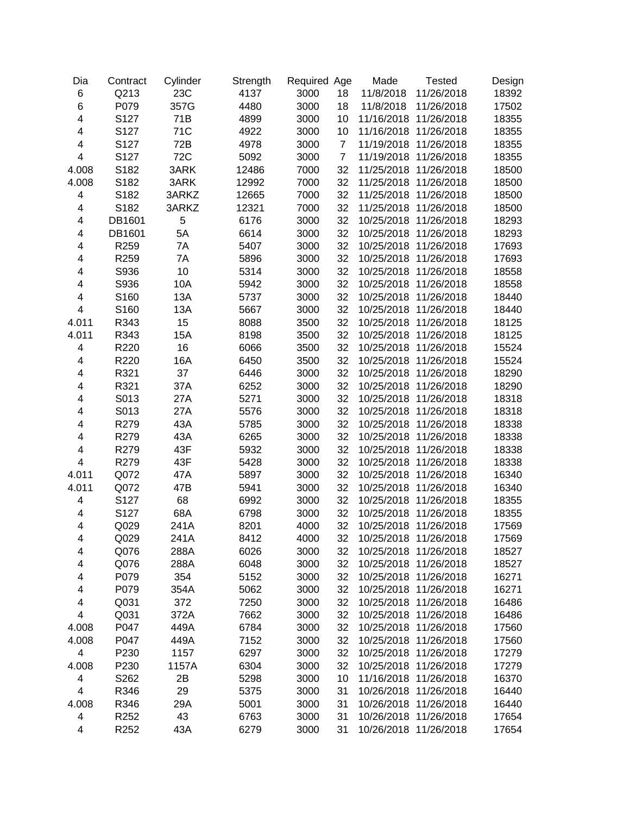| Dia                     | Contract | Cylinder   | Strength | Required Age |                | Made       | <b>Tested</b>         | Design |
|-------------------------|----------|------------|----------|--------------|----------------|------------|-----------------------|--------|
| 6                       | Q213     | 23C        | 4137     | 3000         | 18             | 11/8/2018  | 11/26/2018            | 18392  |
| 6                       | P079     | 357G       | 4480     | 3000         | 18             | 11/8/2018  | 11/26/2018            | 17502  |
| $\overline{\mathbf{4}}$ | S127     | 71B        | 4899     | 3000         | 10             | 11/16/2018 | 11/26/2018            | 18355  |
| 4                       | S127     | 71C        | 4922     | 3000         | 10             | 11/16/2018 | 11/26/2018            | 18355  |
| 4                       | S127     | 72B        | 4978     | 3000         | $\overline{7}$ | 11/19/2018 | 11/26/2018            | 18355  |
| 4                       | S127     | <b>72C</b> | 5092     | 3000         | $\overline{7}$ | 11/19/2018 | 11/26/2018            | 18355  |
| 4.008                   | S182     | 3ARK       | 12486    | 7000         | 32             | 11/25/2018 | 11/26/2018            | 18500  |
| 4.008                   | S182     | 3ARK       | 12992    | 7000         | 32             | 11/25/2018 | 11/26/2018            | 18500  |
| 4                       | S182     | 3ARKZ      | 12665    | 7000         | 32             |            | 11/25/2018 11/26/2018 | 18500  |
| 4                       | S182     | 3ARKZ      | 12321    | 7000         | 32             |            | 11/25/2018 11/26/2018 | 18500  |
| 4                       | DB1601   | 5          | 6176     | 3000         | 32             | 10/25/2018 | 11/26/2018            | 18293  |
| 4                       | DB1601   | 5A         | 6614     | 3000         | 32             |            | 10/25/2018 11/26/2018 | 18293  |
| 4                       | R259     | 7A         | 5407     | 3000         | 32             |            | 10/25/2018 11/26/2018 | 17693  |
| 4                       | R259     | 7A         | 5896     | 3000         | 32             |            | 10/25/2018 11/26/2018 | 17693  |
| 4                       | S936     | 10         | 5314     | 3000         | 32             |            | 10/25/2018 11/26/2018 | 18558  |
| 4                       | S936     | 10A        | 5942     | 3000         | 32             |            | 10/25/2018 11/26/2018 | 18558  |
| 4                       | S160     | 13A        | 5737     | 3000         | 32             |            | 10/25/2018 11/26/2018 | 18440  |
| $\overline{\mathbf{4}}$ | S160     | 13A        | 5667     | 3000         | 32             | 10/25/2018 | 11/26/2018            | 18440  |
| 4.011                   | R343     | 15         | 8088     | 3500         | 32             | 10/25/2018 | 11/26/2018            | 18125  |
| 4.011                   | R343     | 15A        | 8198     | 3500         | 32             | 10/25/2018 | 11/26/2018            | 18125  |
| 4                       | R220     | 16         | 6066     | 3500         | 32             | 10/25/2018 | 11/26/2018            | 15524  |
| 4                       | R220     | 16A        | 6450     | 3500         | 32             | 10/25/2018 | 11/26/2018            | 15524  |
| 4                       | R321     | 37         | 6446     | 3000         | 32             | 10/25/2018 | 11/26/2018            | 18290  |
| 4                       | R321     | 37A        | 6252     | 3000         | 32             | 10/25/2018 | 11/26/2018            | 18290  |
| 4                       | S013     | 27A        | 5271     | 3000         | 32             | 10/25/2018 | 11/26/2018            | 18318  |
| 4                       | S013     | 27A        | 5576     | 3000         | 32             |            | 10/25/2018 11/26/2018 | 18318  |
| 4                       | R279     | 43A        | 5785     | 3000         | 32             | 10/25/2018 | 11/26/2018            | 18338  |
| 4                       | R279     | 43A        | 6265     | 3000         | 32             | 10/25/2018 | 11/26/2018            | 18338  |
| 4                       | R279     | 43F        | 5932     | 3000         | 32             | 10/25/2018 | 11/26/2018            | 18338  |
| 4                       | R279     | 43F        | 5428     | 3000         | 32             | 10/25/2018 | 11/26/2018            | 18338  |
| 4.011                   | Q072     | 47A        | 5897     | 3000         | 32             | 10/25/2018 | 11/26/2018            | 16340  |
| 4.011                   | Q072     | 47B        | 5941     | 3000         | 32             | 10/25/2018 | 11/26/2018            | 16340  |
| 4                       | S127     | 68         | 6992     | 3000         | 32             | 10/25/2018 | 11/26/2018            | 18355  |
| 4                       | S127     | 68A        | 6798     | 3000         | 32             | 10/25/2018 | 11/26/2018            | 18355  |
| 4                       | Q029     | 241A       | 8201     | 4000         | 32             |            | 10/25/2018 11/26/2018 | 17569  |
| 4                       | Q029     | 241A       | 8412     | 4000         | 32             |            | 10/25/2018 11/26/2018 | 17569  |
| 4                       | Q076     | 288A       | 6026     | 3000         | 32             | 10/25/2018 | 11/26/2018            | 18527  |
| 4                       | Q076     | 288A       | 6048     | 3000         | 32             | 10/25/2018 | 11/26/2018            | 18527  |
| 4                       | P079     | 354        | 5152     | 3000         | 32             | 10/25/2018 | 11/26/2018            | 16271  |
| 4                       | P079     | 354A       | 5062     | 3000         | 32             | 10/25/2018 | 11/26/2018            | 16271  |
| 4                       | Q031     | 372        | 7250     | 3000         | 32             | 10/25/2018 | 11/26/2018            | 16486  |
| 4                       | Q031     | 372A       | 7662     | 3000         | 32             | 10/25/2018 | 11/26/2018            | 16486  |
| 4.008                   | P047     | 449A       | 6784     | 3000         | 32             | 10/25/2018 | 11/26/2018            | 17560  |
| 4.008                   | P047     | 449A       | 7152     | 3000         | 32             | 10/25/2018 | 11/26/2018            | 17560  |
| 4                       | P230     | 1157       | 6297     | 3000         | 32             | 10/25/2018 | 11/26/2018            | 17279  |
| 4.008                   | P230     | 1157A      | 6304     | 3000         | 32             | 10/25/2018 | 11/26/2018            | 17279  |
| 4                       | S262     | 2B         | 5298     | 3000         | 10             |            | 11/16/2018 11/26/2018 | 16370  |
| 4                       | R346     | 29         | 5375     | 3000         | 31             |            | 10/26/2018 11/26/2018 | 16440  |
| 4.008                   | R346     | 29A        | 5001     | 3000         | 31             |            | 10/26/2018 11/26/2018 | 16440  |
| 4                       | R252     | 43         | 6763     | 3000         | 31             |            | 10/26/2018 11/26/2018 | 17654  |
| 4                       | R252     | 43A        | 6279     | 3000         | 31             |            | 10/26/2018 11/26/2018 | 17654  |
|                         |          |            |          |              |                |            |                       |        |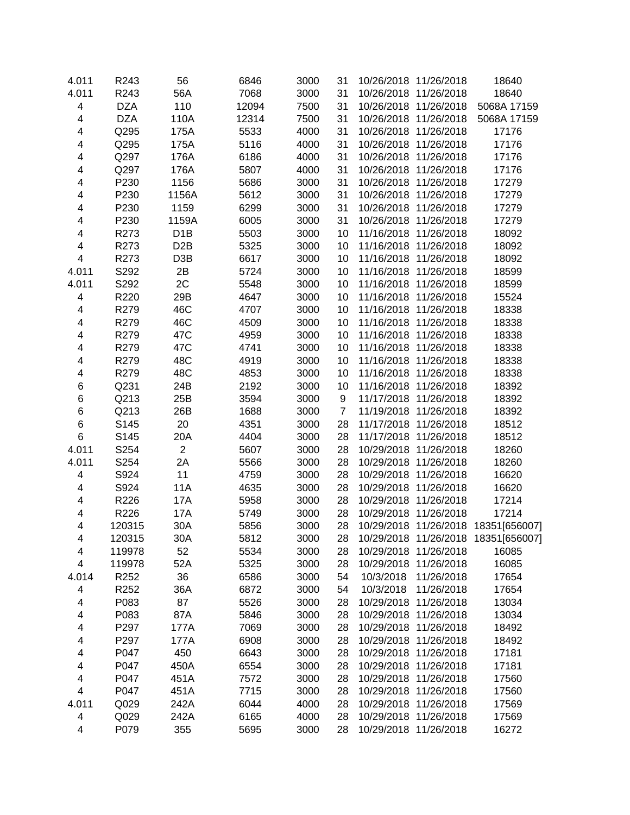| 4.011<br>R243<br>56A<br>7068<br>3000<br>31<br>18640<br>10/26/2018 11/26/2018<br><b>DZA</b><br>110<br>12094<br>7500<br>31<br>5068A 17159<br>4<br>10/26/2018 11/26/2018<br><b>DZA</b><br>4<br>110A<br>12314<br>7500<br>31<br>10/26/2018 11/26/2018<br>5068A 17159<br>Q295<br>31<br>4<br>5533<br>4000<br>175A<br>10/26/2018 11/26/2018<br>17176<br>31<br>4<br>Q295<br>5116<br>4000<br>17176<br>175A<br>10/26/2018 11/26/2018<br>31<br>Q297<br>176A<br>6186<br>4000<br>17176<br>4<br>10/26/2018 11/26/2018<br>4000<br>Q297<br>176A<br>5807<br>31<br>17176<br>4<br>10/26/2018 11/26/2018<br>3000<br>31<br>P230<br>1156<br>5686<br>10/26/2018 11/26/2018<br>17279<br>4<br>3000<br>P230<br>1156A<br>5612<br>31<br>10/26/2018 11/26/2018<br>17279<br>4<br>P230<br>1159<br>6299<br>3000<br>31<br>17279<br>4<br>10/26/2018 11/26/2018<br>P230<br>1159A<br>6005<br>3000<br>31<br>10/26/2018 11/26/2018<br>17279<br>4<br>4<br>R273<br>D <sub>1</sub> B<br>5503<br>3000<br>11/16/2018 11/26/2018<br>18092<br>10<br>4<br>R273<br>D <sub>2</sub> B<br>5325<br>3000<br>11/16/2018 11/26/2018<br>18092<br>10<br>$\overline{\mathbf{4}}$<br>R273<br>D <sub>3</sub> B<br>6617<br>3000<br>11/16/2018 11/26/2018<br>18092<br>10<br>4.011<br>S292<br>2B<br>5724<br>3000<br>11/16/2018 11/26/2018<br>18599<br>10<br>2C<br>4.011<br>S292<br>5548<br>3000<br>11/16/2018 11/26/2018<br>18599<br>10<br>$\overline{\mathbf{4}}$<br>R220<br>29B<br>4647<br>3000<br>10<br>11/16/2018 11/26/2018<br>15524<br>46C<br>R279<br>4707<br>3000<br>18338<br>4<br>10<br>11/16/2018 11/26/2018<br>4<br>R279<br>46C<br>4509<br>3000<br>10<br>11/16/2018 11/26/2018<br>18338<br>4<br>R279<br>47C<br>4959<br>3000<br>10<br>11/16/2018 11/26/2018<br>18338<br>4<br>R279<br>47C<br>4741<br>3000<br>10<br>11/16/2018 11/26/2018<br>18338<br>R279<br>48C<br>4919<br>3000<br>4<br>10<br>11/16/2018 11/26/2018<br>18338<br>R279<br>48C<br>4853<br>3000<br>18338<br>4<br>10<br>11/16/2018 11/26/2018<br>Q231<br>24B<br>2192<br>3000<br>10<br>18392<br>6<br>11/16/2018 11/26/2018<br>3594<br>3000<br>Q213<br>25B<br>9<br>11/17/2018 11/26/2018<br>18392<br>6<br>6<br>Q213<br>26B<br>1688<br>3000<br>$\overline{7}$<br>18392<br>11/19/2018 11/26/2018<br>6<br>S145<br>20<br>4351<br>3000<br>28<br>11/17/2018 11/26/2018<br>18512<br>$\,6$<br>S145<br>4404<br>3000<br>28<br>11/17/2018 11/26/2018<br>18512<br>20A<br>S254<br>$\overline{2}$<br>4.011<br>5607<br>3000<br>28<br>18260<br>10/29/2018 11/26/2018<br>S254<br>4.011<br>2A<br>5566<br>3000<br>28<br>18260<br>10/29/2018 11/26/2018<br>S924<br>3000<br>$\overline{\mathbf{4}}$<br>11<br>4759<br>28<br>16620<br>10/29/2018 11/26/2018<br>S924<br>$\overline{\mathbf{4}}$<br><b>11A</b><br>4635<br>3000<br>28<br>10/29/2018 11/26/2018<br>16620<br>$\overline{\mathbf{4}}$<br>R226<br>17A<br>5958<br>3000<br>10/29/2018 11/26/2018<br>17214<br>28<br>4<br>R226<br>17A<br>5749<br>3000<br>10/29/2018 11/26/2018<br>17214<br>28<br>$\overline{\mathbf{4}}$<br>30A<br>5856<br>3000<br>28<br>10/29/2018 11/26/2018 18351[656007]<br>120315<br>10/29/2018 11/26/2018 18351[656007]<br>120315<br>4<br>30A<br>5812<br>3000<br>28<br>52<br>4<br>119978<br>5534<br>3000<br>10/29/2018<br>11/26/2018<br>16085<br>28<br>52A<br>5325<br>16085<br>4<br>119978<br>3000<br>28<br>10/29/2018<br>11/26/2018<br>4.014<br>36<br>6586<br>3000<br>R <sub>252</sub><br>54<br>10/3/2018<br>11/26/2018<br>17654<br>R252<br>36A<br>6872<br>3000<br>17654<br>4<br>54<br>10/3/2018<br>11/26/2018<br>P083<br>87<br>5526<br>3000<br>13034<br>4<br>28<br>10/29/2018<br>11/26/2018<br>P083<br>87A<br>3000<br>4<br>5846<br>28<br>10/29/2018 11/26/2018<br>13034<br>P297<br>7069<br>3000<br>28<br>18492<br>4<br>177A<br>10/29/2018 11/26/2018<br>4<br>P297<br>6908<br>3000<br>28<br>18492<br>177A<br>10/29/2018 11/26/2018<br>P047<br>450<br>3000<br>17181<br>4<br>6643<br>28<br>10/29/2018 11/26/2018<br>4<br>P047<br>450A<br>3000<br>10/29/2018 11/26/2018<br>6554<br>28<br>17181<br>4<br>P047<br>7572<br>3000<br>451A<br>28<br>10/29/2018 11/26/2018<br>17560<br>$\overline{\mathbf{4}}$<br>P047<br>7715<br>3000<br>10/29/2018 11/26/2018<br>451A<br>28<br>17560<br>Q029<br>242A<br>4000<br>10/29/2018 11/26/2018<br>4.011<br>6044<br>28<br>17569<br>4<br>6165<br>4000<br>Q029<br>242A<br>28<br>10/29/2018 11/26/2018<br>17569<br>10/29/2018 11/26/2018 | 4.011 | R243 | 56  | 6846 | 3000 | 31 | 10/26/2018 11/26/2018 | 18640 |
|----------------------------------------------------------------------------------------------------------------------------------------------------------------------------------------------------------------------------------------------------------------------------------------------------------------------------------------------------------------------------------------------------------------------------------------------------------------------------------------------------------------------------------------------------------------------------------------------------------------------------------------------------------------------------------------------------------------------------------------------------------------------------------------------------------------------------------------------------------------------------------------------------------------------------------------------------------------------------------------------------------------------------------------------------------------------------------------------------------------------------------------------------------------------------------------------------------------------------------------------------------------------------------------------------------------------------------------------------------------------------------------------------------------------------------------------------------------------------------------------------------------------------------------------------------------------------------------------------------------------------------------------------------------------------------------------------------------------------------------------------------------------------------------------------------------------------------------------------------------------------------------------------------------------------------------------------------------------------------------------------------------------------------------------------------------------------------------------------------------------------------------------------------------------------------------------------------------------------------------------------------------------------------------------------------------------------------------------------------------------------------------------------------------------------------------------------------------------------------------------------------------------------------------------------------------------------------------------------------------------------------------------------------------------------------------------------------------------------------------------------------------------------------------------------------------------------------------------------------------------------------------------------------------------------------------------------------------------------------------------------------------------------------------------------------------------------------------------------------------------------------------------------------------------------------------------------------------------------------------------------------------------------------------------------------------------------------------------------------------------------------------------------------------------------------------------------------------------------------------------------------------------------------------------------------------------------------------------------------------------------------------------------------------------------------------------------------------------------------------------------------------------------------------------------------------------------------------------------------------------------------------------------------------------------------------------------------------------------------------------------------------------------------------------------------------------------------------------------------------------------------------------------------------------------------------------------------------------------------------------------------------------------------------------------------------------------|-------|------|-----|------|------|----|-----------------------|-------|
|                                                                                                                                                                                                                                                                                                                                                                                                                                                                                                                                                                                                                                                                                                                                                                                                                                                                                                                                                                                                                                                                                                                                                                                                                                                                                                                                                                                                                                                                                                                                                                                                                                                                                                                                                                                                                                                                                                                                                                                                                                                                                                                                                                                                                                                                                                                                                                                                                                                                                                                                                                                                                                                                                                                                                                                                                                                                                                                                                                                                                                                                                                                                                                                                                                                                                                                                                                                                                                                                                                                                                                                                                                                                                                                                                                                                                                                                                                                                                                                                                                                                                                                                                                                                                                                                                                                            |       |      |     |      |      |    |                       |       |
|                                                                                                                                                                                                                                                                                                                                                                                                                                                                                                                                                                                                                                                                                                                                                                                                                                                                                                                                                                                                                                                                                                                                                                                                                                                                                                                                                                                                                                                                                                                                                                                                                                                                                                                                                                                                                                                                                                                                                                                                                                                                                                                                                                                                                                                                                                                                                                                                                                                                                                                                                                                                                                                                                                                                                                                                                                                                                                                                                                                                                                                                                                                                                                                                                                                                                                                                                                                                                                                                                                                                                                                                                                                                                                                                                                                                                                                                                                                                                                                                                                                                                                                                                                                                                                                                                                                            |       |      |     |      |      |    |                       |       |
|                                                                                                                                                                                                                                                                                                                                                                                                                                                                                                                                                                                                                                                                                                                                                                                                                                                                                                                                                                                                                                                                                                                                                                                                                                                                                                                                                                                                                                                                                                                                                                                                                                                                                                                                                                                                                                                                                                                                                                                                                                                                                                                                                                                                                                                                                                                                                                                                                                                                                                                                                                                                                                                                                                                                                                                                                                                                                                                                                                                                                                                                                                                                                                                                                                                                                                                                                                                                                                                                                                                                                                                                                                                                                                                                                                                                                                                                                                                                                                                                                                                                                                                                                                                                                                                                                                                            |       |      |     |      |      |    |                       |       |
|                                                                                                                                                                                                                                                                                                                                                                                                                                                                                                                                                                                                                                                                                                                                                                                                                                                                                                                                                                                                                                                                                                                                                                                                                                                                                                                                                                                                                                                                                                                                                                                                                                                                                                                                                                                                                                                                                                                                                                                                                                                                                                                                                                                                                                                                                                                                                                                                                                                                                                                                                                                                                                                                                                                                                                                                                                                                                                                                                                                                                                                                                                                                                                                                                                                                                                                                                                                                                                                                                                                                                                                                                                                                                                                                                                                                                                                                                                                                                                                                                                                                                                                                                                                                                                                                                                                            |       |      |     |      |      |    |                       |       |
|                                                                                                                                                                                                                                                                                                                                                                                                                                                                                                                                                                                                                                                                                                                                                                                                                                                                                                                                                                                                                                                                                                                                                                                                                                                                                                                                                                                                                                                                                                                                                                                                                                                                                                                                                                                                                                                                                                                                                                                                                                                                                                                                                                                                                                                                                                                                                                                                                                                                                                                                                                                                                                                                                                                                                                                                                                                                                                                                                                                                                                                                                                                                                                                                                                                                                                                                                                                                                                                                                                                                                                                                                                                                                                                                                                                                                                                                                                                                                                                                                                                                                                                                                                                                                                                                                                                            |       |      |     |      |      |    |                       |       |
|                                                                                                                                                                                                                                                                                                                                                                                                                                                                                                                                                                                                                                                                                                                                                                                                                                                                                                                                                                                                                                                                                                                                                                                                                                                                                                                                                                                                                                                                                                                                                                                                                                                                                                                                                                                                                                                                                                                                                                                                                                                                                                                                                                                                                                                                                                                                                                                                                                                                                                                                                                                                                                                                                                                                                                                                                                                                                                                                                                                                                                                                                                                                                                                                                                                                                                                                                                                                                                                                                                                                                                                                                                                                                                                                                                                                                                                                                                                                                                                                                                                                                                                                                                                                                                                                                                                            |       |      |     |      |      |    |                       |       |
|                                                                                                                                                                                                                                                                                                                                                                                                                                                                                                                                                                                                                                                                                                                                                                                                                                                                                                                                                                                                                                                                                                                                                                                                                                                                                                                                                                                                                                                                                                                                                                                                                                                                                                                                                                                                                                                                                                                                                                                                                                                                                                                                                                                                                                                                                                                                                                                                                                                                                                                                                                                                                                                                                                                                                                                                                                                                                                                                                                                                                                                                                                                                                                                                                                                                                                                                                                                                                                                                                                                                                                                                                                                                                                                                                                                                                                                                                                                                                                                                                                                                                                                                                                                                                                                                                                                            |       |      |     |      |      |    |                       |       |
|                                                                                                                                                                                                                                                                                                                                                                                                                                                                                                                                                                                                                                                                                                                                                                                                                                                                                                                                                                                                                                                                                                                                                                                                                                                                                                                                                                                                                                                                                                                                                                                                                                                                                                                                                                                                                                                                                                                                                                                                                                                                                                                                                                                                                                                                                                                                                                                                                                                                                                                                                                                                                                                                                                                                                                                                                                                                                                                                                                                                                                                                                                                                                                                                                                                                                                                                                                                                                                                                                                                                                                                                                                                                                                                                                                                                                                                                                                                                                                                                                                                                                                                                                                                                                                                                                                                            |       |      |     |      |      |    |                       |       |
|                                                                                                                                                                                                                                                                                                                                                                                                                                                                                                                                                                                                                                                                                                                                                                                                                                                                                                                                                                                                                                                                                                                                                                                                                                                                                                                                                                                                                                                                                                                                                                                                                                                                                                                                                                                                                                                                                                                                                                                                                                                                                                                                                                                                                                                                                                                                                                                                                                                                                                                                                                                                                                                                                                                                                                                                                                                                                                                                                                                                                                                                                                                                                                                                                                                                                                                                                                                                                                                                                                                                                                                                                                                                                                                                                                                                                                                                                                                                                                                                                                                                                                                                                                                                                                                                                                                            |       |      |     |      |      |    |                       |       |
|                                                                                                                                                                                                                                                                                                                                                                                                                                                                                                                                                                                                                                                                                                                                                                                                                                                                                                                                                                                                                                                                                                                                                                                                                                                                                                                                                                                                                                                                                                                                                                                                                                                                                                                                                                                                                                                                                                                                                                                                                                                                                                                                                                                                                                                                                                                                                                                                                                                                                                                                                                                                                                                                                                                                                                                                                                                                                                                                                                                                                                                                                                                                                                                                                                                                                                                                                                                                                                                                                                                                                                                                                                                                                                                                                                                                                                                                                                                                                                                                                                                                                                                                                                                                                                                                                                                            |       |      |     |      |      |    |                       |       |
|                                                                                                                                                                                                                                                                                                                                                                                                                                                                                                                                                                                                                                                                                                                                                                                                                                                                                                                                                                                                                                                                                                                                                                                                                                                                                                                                                                                                                                                                                                                                                                                                                                                                                                                                                                                                                                                                                                                                                                                                                                                                                                                                                                                                                                                                                                                                                                                                                                                                                                                                                                                                                                                                                                                                                                                                                                                                                                                                                                                                                                                                                                                                                                                                                                                                                                                                                                                                                                                                                                                                                                                                                                                                                                                                                                                                                                                                                                                                                                                                                                                                                                                                                                                                                                                                                                                            |       |      |     |      |      |    |                       |       |
|                                                                                                                                                                                                                                                                                                                                                                                                                                                                                                                                                                                                                                                                                                                                                                                                                                                                                                                                                                                                                                                                                                                                                                                                                                                                                                                                                                                                                                                                                                                                                                                                                                                                                                                                                                                                                                                                                                                                                                                                                                                                                                                                                                                                                                                                                                                                                                                                                                                                                                                                                                                                                                                                                                                                                                                                                                                                                                                                                                                                                                                                                                                                                                                                                                                                                                                                                                                                                                                                                                                                                                                                                                                                                                                                                                                                                                                                                                                                                                                                                                                                                                                                                                                                                                                                                                                            |       |      |     |      |      |    |                       |       |
|                                                                                                                                                                                                                                                                                                                                                                                                                                                                                                                                                                                                                                                                                                                                                                                                                                                                                                                                                                                                                                                                                                                                                                                                                                                                                                                                                                                                                                                                                                                                                                                                                                                                                                                                                                                                                                                                                                                                                                                                                                                                                                                                                                                                                                                                                                                                                                                                                                                                                                                                                                                                                                                                                                                                                                                                                                                                                                                                                                                                                                                                                                                                                                                                                                                                                                                                                                                                                                                                                                                                                                                                                                                                                                                                                                                                                                                                                                                                                                                                                                                                                                                                                                                                                                                                                                                            |       |      |     |      |      |    |                       |       |
|                                                                                                                                                                                                                                                                                                                                                                                                                                                                                                                                                                                                                                                                                                                                                                                                                                                                                                                                                                                                                                                                                                                                                                                                                                                                                                                                                                                                                                                                                                                                                                                                                                                                                                                                                                                                                                                                                                                                                                                                                                                                                                                                                                                                                                                                                                                                                                                                                                                                                                                                                                                                                                                                                                                                                                                                                                                                                                                                                                                                                                                                                                                                                                                                                                                                                                                                                                                                                                                                                                                                                                                                                                                                                                                                                                                                                                                                                                                                                                                                                                                                                                                                                                                                                                                                                                                            |       |      |     |      |      |    |                       |       |
|                                                                                                                                                                                                                                                                                                                                                                                                                                                                                                                                                                                                                                                                                                                                                                                                                                                                                                                                                                                                                                                                                                                                                                                                                                                                                                                                                                                                                                                                                                                                                                                                                                                                                                                                                                                                                                                                                                                                                                                                                                                                                                                                                                                                                                                                                                                                                                                                                                                                                                                                                                                                                                                                                                                                                                                                                                                                                                                                                                                                                                                                                                                                                                                                                                                                                                                                                                                                                                                                                                                                                                                                                                                                                                                                                                                                                                                                                                                                                                                                                                                                                                                                                                                                                                                                                                                            |       |      |     |      |      |    |                       |       |
|                                                                                                                                                                                                                                                                                                                                                                                                                                                                                                                                                                                                                                                                                                                                                                                                                                                                                                                                                                                                                                                                                                                                                                                                                                                                                                                                                                                                                                                                                                                                                                                                                                                                                                                                                                                                                                                                                                                                                                                                                                                                                                                                                                                                                                                                                                                                                                                                                                                                                                                                                                                                                                                                                                                                                                                                                                                                                                                                                                                                                                                                                                                                                                                                                                                                                                                                                                                                                                                                                                                                                                                                                                                                                                                                                                                                                                                                                                                                                                                                                                                                                                                                                                                                                                                                                                                            |       |      |     |      |      |    |                       |       |
|                                                                                                                                                                                                                                                                                                                                                                                                                                                                                                                                                                                                                                                                                                                                                                                                                                                                                                                                                                                                                                                                                                                                                                                                                                                                                                                                                                                                                                                                                                                                                                                                                                                                                                                                                                                                                                                                                                                                                                                                                                                                                                                                                                                                                                                                                                                                                                                                                                                                                                                                                                                                                                                                                                                                                                                                                                                                                                                                                                                                                                                                                                                                                                                                                                                                                                                                                                                                                                                                                                                                                                                                                                                                                                                                                                                                                                                                                                                                                                                                                                                                                                                                                                                                                                                                                                                            |       |      |     |      |      |    |                       |       |
|                                                                                                                                                                                                                                                                                                                                                                                                                                                                                                                                                                                                                                                                                                                                                                                                                                                                                                                                                                                                                                                                                                                                                                                                                                                                                                                                                                                                                                                                                                                                                                                                                                                                                                                                                                                                                                                                                                                                                                                                                                                                                                                                                                                                                                                                                                                                                                                                                                                                                                                                                                                                                                                                                                                                                                                                                                                                                                                                                                                                                                                                                                                                                                                                                                                                                                                                                                                                                                                                                                                                                                                                                                                                                                                                                                                                                                                                                                                                                                                                                                                                                                                                                                                                                                                                                                                            |       |      |     |      |      |    |                       |       |
|                                                                                                                                                                                                                                                                                                                                                                                                                                                                                                                                                                                                                                                                                                                                                                                                                                                                                                                                                                                                                                                                                                                                                                                                                                                                                                                                                                                                                                                                                                                                                                                                                                                                                                                                                                                                                                                                                                                                                                                                                                                                                                                                                                                                                                                                                                                                                                                                                                                                                                                                                                                                                                                                                                                                                                                                                                                                                                                                                                                                                                                                                                                                                                                                                                                                                                                                                                                                                                                                                                                                                                                                                                                                                                                                                                                                                                                                                                                                                                                                                                                                                                                                                                                                                                                                                                                            |       |      |     |      |      |    |                       |       |
|                                                                                                                                                                                                                                                                                                                                                                                                                                                                                                                                                                                                                                                                                                                                                                                                                                                                                                                                                                                                                                                                                                                                                                                                                                                                                                                                                                                                                                                                                                                                                                                                                                                                                                                                                                                                                                                                                                                                                                                                                                                                                                                                                                                                                                                                                                                                                                                                                                                                                                                                                                                                                                                                                                                                                                                                                                                                                                                                                                                                                                                                                                                                                                                                                                                                                                                                                                                                                                                                                                                                                                                                                                                                                                                                                                                                                                                                                                                                                                                                                                                                                                                                                                                                                                                                                                                            |       |      |     |      |      |    |                       |       |
|                                                                                                                                                                                                                                                                                                                                                                                                                                                                                                                                                                                                                                                                                                                                                                                                                                                                                                                                                                                                                                                                                                                                                                                                                                                                                                                                                                                                                                                                                                                                                                                                                                                                                                                                                                                                                                                                                                                                                                                                                                                                                                                                                                                                                                                                                                                                                                                                                                                                                                                                                                                                                                                                                                                                                                                                                                                                                                                                                                                                                                                                                                                                                                                                                                                                                                                                                                                                                                                                                                                                                                                                                                                                                                                                                                                                                                                                                                                                                                                                                                                                                                                                                                                                                                                                                                                            |       |      |     |      |      |    |                       |       |
|                                                                                                                                                                                                                                                                                                                                                                                                                                                                                                                                                                                                                                                                                                                                                                                                                                                                                                                                                                                                                                                                                                                                                                                                                                                                                                                                                                                                                                                                                                                                                                                                                                                                                                                                                                                                                                                                                                                                                                                                                                                                                                                                                                                                                                                                                                                                                                                                                                                                                                                                                                                                                                                                                                                                                                                                                                                                                                                                                                                                                                                                                                                                                                                                                                                                                                                                                                                                                                                                                                                                                                                                                                                                                                                                                                                                                                                                                                                                                                                                                                                                                                                                                                                                                                                                                                                            |       |      |     |      |      |    |                       |       |
|                                                                                                                                                                                                                                                                                                                                                                                                                                                                                                                                                                                                                                                                                                                                                                                                                                                                                                                                                                                                                                                                                                                                                                                                                                                                                                                                                                                                                                                                                                                                                                                                                                                                                                                                                                                                                                                                                                                                                                                                                                                                                                                                                                                                                                                                                                                                                                                                                                                                                                                                                                                                                                                                                                                                                                                                                                                                                                                                                                                                                                                                                                                                                                                                                                                                                                                                                                                                                                                                                                                                                                                                                                                                                                                                                                                                                                                                                                                                                                                                                                                                                                                                                                                                                                                                                                                            |       |      |     |      |      |    |                       |       |
|                                                                                                                                                                                                                                                                                                                                                                                                                                                                                                                                                                                                                                                                                                                                                                                                                                                                                                                                                                                                                                                                                                                                                                                                                                                                                                                                                                                                                                                                                                                                                                                                                                                                                                                                                                                                                                                                                                                                                                                                                                                                                                                                                                                                                                                                                                                                                                                                                                                                                                                                                                                                                                                                                                                                                                                                                                                                                                                                                                                                                                                                                                                                                                                                                                                                                                                                                                                                                                                                                                                                                                                                                                                                                                                                                                                                                                                                                                                                                                                                                                                                                                                                                                                                                                                                                                                            |       |      |     |      |      |    |                       |       |
|                                                                                                                                                                                                                                                                                                                                                                                                                                                                                                                                                                                                                                                                                                                                                                                                                                                                                                                                                                                                                                                                                                                                                                                                                                                                                                                                                                                                                                                                                                                                                                                                                                                                                                                                                                                                                                                                                                                                                                                                                                                                                                                                                                                                                                                                                                                                                                                                                                                                                                                                                                                                                                                                                                                                                                                                                                                                                                                                                                                                                                                                                                                                                                                                                                                                                                                                                                                                                                                                                                                                                                                                                                                                                                                                                                                                                                                                                                                                                                                                                                                                                                                                                                                                                                                                                                                            |       |      |     |      |      |    |                       |       |
|                                                                                                                                                                                                                                                                                                                                                                                                                                                                                                                                                                                                                                                                                                                                                                                                                                                                                                                                                                                                                                                                                                                                                                                                                                                                                                                                                                                                                                                                                                                                                                                                                                                                                                                                                                                                                                                                                                                                                                                                                                                                                                                                                                                                                                                                                                                                                                                                                                                                                                                                                                                                                                                                                                                                                                                                                                                                                                                                                                                                                                                                                                                                                                                                                                                                                                                                                                                                                                                                                                                                                                                                                                                                                                                                                                                                                                                                                                                                                                                                                                                                                                                                                                                                                                                                                                                            |       |      |     |      |      |    |                       |       |
|                                                                                                                                                                                                                                                                                                                                                                                                                                                                                                                                                                                                                                                                                                                                                                                                                                                                                                                                                                                                                                                                                                                                                                                                                                                                                                                                                                                                                                                                                                                                                                                                                                                                                                                                                                                                                                                                                                                                                                                                                                                                                                                                                                                                                                                                                                                                                                                                                                                                                                                                                                                                                                                                                                                                                                                                                                                                                                                                                                                                                                                                                                                                                                                                                                                                                                                                                                                                                                                                                                                                                                                                                                                                                                                                                                                                                                                                                                                                                                                                                                                                                                                                                                                                                                                                                                                            |       |      |     |      |      |    |                       |       |
|                                                                                                                                                                                                                                                                                                                                                                                                                                                                                                                                                                                                                                                                                                                                                                                                                                                                                                                                                                                                                                                                                                                                                                                                                                                                                                                                                                                                                                                                                                                                                                                                                                                                                                                                                                                                                                                                                                                                                                                                                                                                                                                                                                                                                                                                                                                                                                                                                                                                                                                                                                                                                                                                                                                                                                                                                                                                                                                                                                                                                                                                                                                                                                                                                                                                                                                                                                                                                                                                                                                                                                                                                                                                                                                                                                                                                                                                                                                                                                                                                                                                                                                                                                                                                                                                                                                            |       |      |     |      |      |    |                       |       |
|                                                                                                                                                                                                                                                                                                                                                                                                                                                                                                                                                                                                                                                                                                                                                                                                                                                                                                                                                                                                                                                                                                                                                                                                                                                                                                                                                                                                                                                                                                                                                                                                                                                                                                                                                                                                                                                                                                                                                                                                                                                                                                                                                                                                                                                                                                                                                                                                                                                                                                                                                                                                                                                                                                                                                                                                                                                                                                                                                                                                                                                                                                                                                                                                                                                                                                                                                                                                                                                                                                                                                                                                                                                                                                                                                                                                                                                                                                                                                                                                                                                                                                                                                                                                                                                                                                                            |       |      |     |      |      |    |                       |       |
|                                                                                                                                                                                                                                                                                                                                                                                                                                                                                                                                                                                                                                                                                                                                                                                                                                                                                                                                                                                                                                                                                                                                                                                                                                                                                                                                                                                                                                                                                                                                                                                                                                                                                                                                                                                                                                                                                                                                                                                                                                                                                                                                                                                                                                                                                                                                                                                                                                                                                                                                                                                                                                                                                                                                                                                                                                                                                                                                                                                                                                                                                                                                                                                                                                                                                                                                                                                                                                                                                                                                                                                                                                                                                                                                                                                                                                                                                                                                                                                                                                                                                                                                                                                                                                                                                                                            |       |      |     |      |      |    |                       |       |
|                                                                                                                                                                                                                                                                                                                                                                                                                                                                                                                                                                                                                                                                                                                                                                                                                                                                                                                                                                                                                                                                                                                                                                                                                                                                                                                                                                                                                                                                                                                                                                                                                                                                                                                                                                                                                                                                                                                                                                                                                                                                                                                                                                                                                                                                                                                                                                                                                                                                                                                                                                                                                                                                                                                                                                                                                                                                                                                                                                                                                                                                                                                                                                                                                                                                                                                                                                                                                                                                                                                                                                                                                                                                                                                                                                                                                                                                                                                                                                                                                                                                                                                                                                                                                                                                                                                            |       |      |     |      |      |    |                       |       |
|                                                                                                                                                                                                                                                                                                                                                                                                                                                                                                                                                                                                                                                                                                                                                                                                                                                                                                                                                                                                                                                                                                                                                                                                                                                                                                                                                                                                                                                                                                                                                                                                                                                                                                                                                                                                                                                                                                                                                                                                                                                                                                                                                                                                                                                                                                                                                                                                                                                                                                                                                                                                                                                                                                                                                                                                                                                                                                                                                                                                                                                                                                                                                                                                                                                                                                                                                                                                                                                                                                                                                                                                                                                                                                                                                                                                                                                                                                                                                                                                                                                                                                                                                                                                                                                                                                                            |       |      |     |      |      |    |                       |       |
|                                                                                                                                                                                                                                                                                                                                                                                                                                                                                                                                                                                                                                                                                                                                                                                                                                                                                                                                                                                                                                                                                                                                                                                                                                                                                                                                                                                                                                                                                                                                                                                                                                                                                                                                                                                                                                                                                                                                                                                                                                                                                                                                                                                                                                                                                                                                                                                                                                                                                                                                                                                                                                                                                                                                                                                                                                                                                                                                                                                                                                                                                                                                                                                                                                                                                                                                                                                                                                                                                                                                                                                                                                                                                                                                                                                                                                                                                                                                                                                                                                                                                                                                                                                                                                                                                                                            |       |      |     |      |      |    |                       |       |
|                                                                                                                                                                                                                                                                                                                                                                                                                                                                                                                                                                                                                                                                                                                                                                                                                                                                                                                                                                                                                                                                                                                                                                                                                                                                                                                                                                                                                                                                                                                                                                                                                                                                                                                                                                                                                                                                                                                                                                                                                                                                                                                                                                                                                                                                                                                                                                                                                                                                                                                                                                                                                                                                                                                                                                                                                                                                                                                                                                                                                                                                                                                                                                                                                                                                                                                                                                                                                                                                                                                                                                                                                                                                                                                                                                                                                                                                                                                                                                                                                                                                                                                                                                                                                                                                                                                            |       |      |     |      |      |    |                       |       |
|                                                                                                                                                                                                                                                                                                                                                                                                                                                                                                                                                                                                                                                                                                                                                                                                                                                                                                                                                                                                                                                                                                                                                                                                                                                                                                                                                                                                                                                                                                                                                                                                                                                                                                                                                                                                                                                                                                                                                                                                                                                                                                                                                                                                                                                                                                                                                                                                                                                                                                                                                                                                                                                                                                                                                                                                                                                                                                                                                                                                                                                                                                                                                                                                                                                                                                                                                                                                                                                                                                                                                                                                                                                                                                                                                                                                                                                                                                                                                                                                                                                                                                                                                                                                                                                                                                                            |       |      |     |      |      |    |                       |       |
|                                                                                                                                                                                                                                                                                                                                                                                                                                                                                                                                                                                                                                                                                                                                                                                                                                                                                                                                                                                                                                                                                                                                                                                                                                                                                                                                                                                                                                                                                                                                                                                                                                                                                                                                                                                                                                                                                                                                                                                                                                                                                                                                                                                                                                                                                                                                                                                                                                                                                                                                                                                                                                                                                                                                                                                                                                                                                                                                                                                                                                                                                                                                                                                                                                                                                                                                                                                                                                                                                                                                                                                                                                                                                                                                                                                                                                                                                                                                                                                                                                                                                                                                                                                                                                                                                                                            |       |      |     |      |      |    |                       |       |
|                                                                                                                                                                                                                                                                                                                                                                                                                                                                                                                                                                                                                                                                                                                                                                                                                                                                                                                                                                                                                                                                                                                                                                                                                                                                                                                                                                                                                                                                                                                                                                                                                                                                                                                                                                                                                                                                                                                                                                                                                                                                                                                                                                                                                                                                                                                                                                                                                                                                                                                                                                                                                                                                                                                                                                                                                                                                                                                                                                                                                                                                                                                                                                                                                                                                                                                                                                                                                                                                                                                                                                                                                                                                                                                                                                                                                                                                                                                                                                                                                                                                                                                                                                                                                                                                                                                            |       |      |     |      |      |    |                       |       |
|                                                                                                                                                                                                                                                                                                                                                                                                                                                                                                                                                                                                                                                                                                                                                                                                                                                                                                                                                                                                                                                                                                                                                                                                                                                                                                                                                                                                                                                                                                                                                                                                                                                                                                                                                                                                                                                                                                                                                                                                                                                                                                                                                                                                                                                                                                                                                                                                                                                                                                                                                                                                                                                                                                                                                                                                                                                                                                                                                                                                                                                                                                                                                                                                                                                                                                                                                                                                                                                                                                                                                                                                                                                                                                                                                                                                                                                                                                                                                                                                                                                                                                                                                                                                                                                                                                                            |       |      |     |      |      |    |                       |       |
|                                                                                                                                                                                                                                                                                                                                                                                                                                                                                                                                                                                                                                                                                                                                                                                                                                                                                                                                                                                                                                                                                                                                                                                                                                                                                                                                                                                                                                                                                                                                                                                                                                                                                                                                                                                                                                                                                                                                                                                                                                                                                                                                                                                                                                                                                                                                                                                                                                                                                                                                                                                                                                                                                                                                                                                                                                                                                                                                                                                                                                                                                                                                                                                                                                                                                                                                                                                                                                                                                                                                                                                                                                                                                                                                                                                                                                                                                                                                                                                                                                                                                                                                                                                                                                                                                                                            |       |      |     |      |      |    |                       |       |
|                                                                                                                                                                                                                                                                                                                                                                                                                                                                                                                                                                                                                                                                                                                                                                                                                                                                                                                                                                                                                                                                                                                                                                                                                                                                                                                                                                                                                                                                                                                                                                                                                                                                                                                                                                                                                                                                                                                                                                                                                                                                                                                                                                                                                                                                                                                                                                                                                                                                                                                                                                                                                                                                                                                                                                                                                                                                                                                                                                                                                                                                                                                                                                                                                                                                                                                                                                                                                                                                                                                                                                                                                                                                                                                                                                                                                                                                                                                                                                                                                                                                                                                                                                                                                                                                                                                            |       |      |     |      |      |    |                       |       |
|                                                                                                                                                                                                                                                                                                                                                                                                                                                                                                                                                                                                                                                                                                                                                                                                                                                                                                                                                                                                                                                                                                                                                                                                                                                                                                                                                                                                                                                                                                                                                                                                                                                                                                                                                                                                                                                                                                                                                                                                                                                                                                                                                                                                                                                                                                                                                                                                                                                                                                                                                                                                                                                                                                                                                                                                                                                                                                                                                                                                                                                                                                                                                                                                                                                                                                                                                                                                                                                                                                                                                                                                                                                                                                                                                                                                                                                                                                                                                                                                                                                                                                                                                                                                                                                                                                                            |       |      |     |      |      |    |                       |       |
|                                                                                                                                                                                                                                                                                                                                                                                                                                                                                                                                                                                                                                                                                                                                                                                                                                                                                                                                                                                                                                                                                                                                                                                                                                                                                                                                                                                                                                                                                                                                                                                                                                                                                                                                                                                                                                                                                                                                                                                                                                                                                                                                                                                                                                                                                                                                                                                                                                                                                                                                                                                                                                                                                                                                                                                                                                                                                                                                                                                                                                                                                                                                                                                                                                                                                                                                                                                                                                                                                                                                                                                                                                                                                                                                                                                                                                                                                                                                                                                                                                                                                                                                                                                                                                                                                                                            |       |      |     |      |      |    |                       |       |
|                                                                                                                                                                                                                                                                                                                                                                                                                                                                                                                                                                                                                                                                                                                                                                                                                                                                                                                                                                                                                                                                                                                                                                                                                                                                                                                                                                                                                                                                                                                                                                                                                                                                                                                                                                                                                                                                                                                                                                                                                                                                                                                                                                                                                                                                                                                                                                                                                                                                                                                                                                                                                                                                                                                                                                                                                                                                                                                                                                                                                                                                                                                                                                                                                                                                                                                                                                                                                                                                                                                                                                                                                                                                                                                                                                                                                                                                                                                                                                                                                                                                                                                                                                                                                                                                                                                            |       |      |     |      |      |    |                       |       |
|                                                                                                                                                                                                                                                                                                                                                                                                                                                                                                                                                                                                                                                                                                                                                                                                                                                                                                                                                                                                                                                                                                                                                                                                                                                                                                                                                                                                                                                                                                                                                                                                                                                                                                                                                                                                                                                                                                                                                                                                                                                                                                                                                                                                                                                                                                                                                                                                                                                                                                                                                                                                                                                                                                                                                                                                                                                                                                                                                                                                                                                                                                                                                                                                                                                                                                                                                                                                                                                                                                                                                                                                                                                                                                                                                                                                                                                                                                                                                                                                                                                                                                                                                                                                                                                                                                                            |       |      |     |      |      |    |                       |       |
|                                                                                                                                                                                                                                                                                                                                                                                                                                                                                                                                                                                                                                                                                                                                                                                                                                                                                                                                                                                                                                                                                                                                                                                                                                                                                                                                                                                                                                                                                                                                                                                                                                                                                                                                                                                                                                                                                                                                                                                                                                                                                                                                                                                                                                                                                                                                                                                                                                                                                                                                                                                                                                                                                                                                                                                                                                                                                                                                                                                                                                                                                                                                                                                                                                                                                                                                                                                                                                                                                                                                                                                                                                                                                                                                                                                                                                                                                                                                                                                                                                                                                                                                                                                                                                                                                                                            |       |      |     |      |      |    |                       |       |
|                                                                                                                                                                                                                                                                                                                                                                                                                                                                                                                                                                                                                                                                                                                                                                                                                                                                                                                                                                                                                                                                                                                                                                                                                                                                                                                                                                                                                                                                                                                                                                                                                                                                                                                                                                                                                                                                                                                                                                                                                                                                                                                                                                                                                                                                                                                                                                                                                                                                                                                                                                                                                                                                                                                                                                                                                                                                                                                                                                                                                                                                                                                                                                                                                                                                                                                                                                                                                                                                                                                                                                                                                                                                                                                                                                                                                                                                                                                                                                                                                                                                                                                                                                                                                                                                                                                            |       |      |     |      |      |    |                       |       |
|                                                                                                                                                                                                                                                                                                                                                                                                                                                                                                                                                                                                                                                                                                                                                                                                                                                                                                                                                                                                                                                                                                                                                                                                                                                                                                                                                                                                                                                                                                                                                                                                                                                                                                                                                                                                                                                                                                                                                                                                                                                                                                                                                                                                                                                                                                                                                                                                                                                                                                                                                                                                                                                                                                                                                                                                                                                                                                                                                                                                                                                                                                                                                                                                                                                                                                                                                                                                                                                                                                                                                                                                                                                                                                                                                                                                                                                                                                                                                                                                                                                                                                                                                                                                                                                                                                                            |       |      |     |      |      |    |                       |       |
|                                                                                                                                                                                                                                                                                                                                                                                                                                                                                                                                                                                                                                                                                                                                                                                                                                                                                                                                                                                                                                                                                                                                                                                                                                                                                                                                                                                                                                                                                                                                                                                                                                                                                                                                                                                                                                                                                                                                                                                                                                                                                                                                                                                                                                                                                                                                                                                                                                                                                                                                                                                                                                                                                                                                                                                                                                                                                                                                                                                                                                                                                                                                                                                                                                                                                                                                                                                                                                                                                                                                                                                                                                                                                                                                                                                                                                                                                                                                                                                                                                                                                                                                                                                                                                                                                                                            |       |      |     |      |      |    |                       |       |
|                                                                                                                                                                                                                                                                                                                                                                                                                                                                                                                                                                                                                                                                                                                                                                                                                                                                                                                                                                                                                                                                                                                                                                                                                                                                                                                                                                                                                                                                                                                                                                                                                                                                                                                                                                                                                                                                                                                                                                                                                                                                                                                                                                                                                                                                                                                                                                                                                                                                                                                                                                                                                                                                                                                                                                                                                                                                                                                                                                                                                                                                                                                                                                                                                                                                                                                                                                                                                                                                                                                                                                                                                                                                                                                                                                                                                                                                                                                                                                                                                                                                                                                                                                                                                                                                                                                            |       |      |     |      |      |    |                       |       |
|                                                                                                                                                                                                                                                                                                                                                                                                                                                                                                                                                                                                                                                                                                                                                                                                                                                                                                                                                                                                                                                                                                                                                                                                                                                                                                                                                                                                                                                                                                                                                                                                                                                                                                                                                                                                                                                                                                                                                                                                                                                                                                                                                                                                                                                                                                                                                                                                                                                                                                                                                                                                                                                                                                                                                                                                                                                                                                                                                                                                                                                                                                                                                                                                                                                                                                                                                                                                                                                                                                                                                                                                                                                                                                                                                                                                                                                                                                                                                                                                                                                                                                                                                                                                                                                                                                                            |       |      |     |      |      |    |                       |       |
|                                                                                                                                                                                                                                                                                                                                                                                                                                                                                                                                                                                                                                                                                                                                                                                                                                                                                                                                                                                                                                                                                                                                                                                                                                                                                                                                                                                                                                                                                                                                                                                                                                                                                                                                                                                                                                                                                                                                                                                                                                                                                                                                                                                                                                                                                                                                                                                                                                                                                                                                                                                                                                                                                                                                                                                                                                                                                                                                                                                                                                                                                                                                                                                                                                                                                                                                                                                                                                                                                                                                                                                                                                                                                                                                                                                                                                                                                                                                                                                                                                                                                                                                                                                                                                                                                                                            | 4     | P079 | 355 | 5695 | 3000 | 28 |                       | 16272 |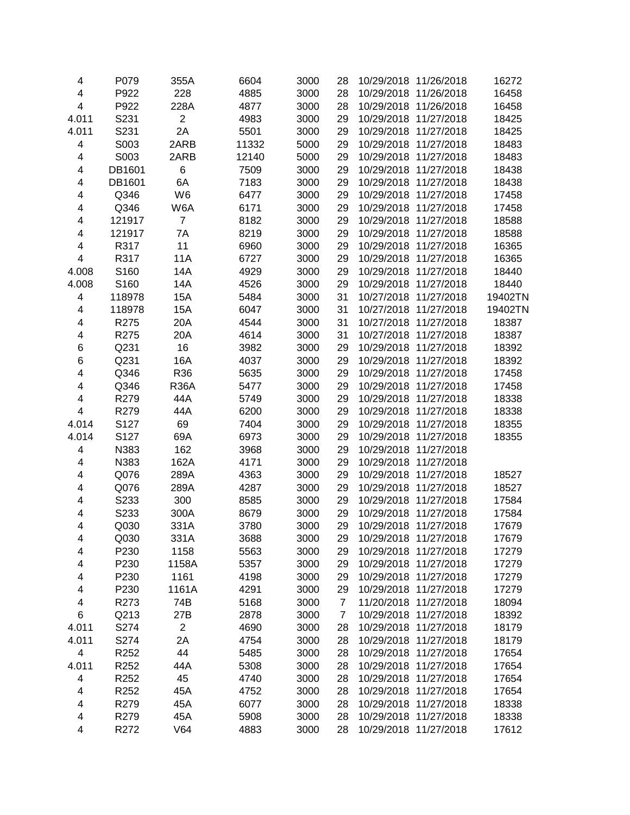| 4     | P079             | 355A           | 6604  | 3000 | 28             | 10/29/2018 11/26/2018 |                       | 16272   |
|-------|------------------|----------------|-------|------|----------------|-----------------------|-----------------------|---------|
| 4     | P922             | 228            | 4885  | 3000 | 28             | 10/29/2018            | 11/26/2018            | 16458   |
| 4     | P922             | 228A           | 4877  | 3000 | 28             | 10/29/2018            | 11/26/2018            | 16458   |
| 4.011 | S231             | $\overline{2}$ | 4983  | 3000 | 29             | 10/29/2018            | 11/27/2018            | 18425   |
| 4.011 | S231             | 2A             | 5501  | 3000 | 29             | 10/29/2018            | 11/27/2018            | 18425   |
| 4     | S003             | 2ARB           | 11332 | 5000 | 29             | 10/29/2018            | 11/27/2018            | 18483   |
| 4     | S003             | 2ARB           | 12140 | 5000 | 29             | 10/29/2018            | 11/27/2018            | 18483   |
| 4     | DB1601           | 6              | 7509  | 3000 | 29             | 10/29/2018            | 11/27/2018            | 18438   |
| 4     | DB1601           | 6A             | 7183  | 3000 | 29             |                       | 10/29/2018 11/27/2018 | 18438   |
| 4     | Q346             | W <sub>6</sub> | 6477  | 3000 | 29             |                       | 10/29/2018 11/27/2018 | 17458   |
| 4     | Q346             | W6A            | 6171  | 3000 | 29             |                       | 10/29/2018 11/27/2018 | 17458   |
| 4     | 121917           | $\overline{7}$ | 8182  | 3000 | 29             |                       | 10/29/2018 11/27/2018 | 18588   |
| 4     | 121917           | 7A             | 8219  | 3000 | 29             | 10/29/2018 11/27/2018 |                       | 18588   |
| 4     | R317             | 11             | 6960  | 3000 | 29             | 10/29/2018 11/27/2018 |                       | 16365   |
| 4     | R317             | 11A            | 6727  | 3000 | 29             | 10/29/2018 11/27/2018 |                       | 16365   |
| 4.008 | S160             | 14A            | 4929  | 3000 | 29             | 10/29/2018 11/27/2018 |                       | 18440   |
| 4.008 | S160             | 14A            | 4526  | 3000 | 29             | 10/29/2018 11/27/2018 |                       | 18440   |
| 4     | 118978           | 15A            | 5484  | 3000 | 31             |                       | 10/27/2018 11/27/2018 | 19402TN |
| 4     | 118978           | 15A            | 6047  | 3000 | 31             | 10/27/2018            | 11/27/2018            | 19402TN |
| 4     | R275             | 20A            | 4544  | 3000 | 31             | 10/27/2018            | 11/27/2018            | 18387   |
| 4     | R275             | 20A            | 4614  | 3000 | 31             | 10/27/2018            | 11/27/2018            | 18387   |
| 6     | Q231             | 16             | 3982  | 3000 | 29             | 10/29/2018            | 11/27/2018            | 18392   |
| 6     | Q231             | 16A            | 4037  | 3000 | 29             | 10/29/2018            | 11/27/2018            | 18392   |
| 4     | Q346             | R36            | 5635  | 3000 | 29             | 10/29/2018            | 11/27/2018            | 17458   |
| 4     | Q346             | <b>R36A</b>    | 5477  | 3000 | 29             |                       | 10/29/2018 11/27/2018 | 17458   |
| 4     | R279             | 44A            | 5749  | 3000 | 29             |                       | 10/29/2018 11/27/2018 | 18338   |
| 4     | R279             | 44A            | 6200  | 3000 | 29             |                       | 10/29/2018 11/27/2018 | 18338   |
| 4.014 | S127             | 69             | 7404  | 3000 | 29             |                       | 10/29/2018 11/27/2018 | 18355   |
| 4.014 | S127             | 69A            | 6973  | 3000 | 29             |                       | 10/29/2018 11/27/2018 | 18355   |
| 4     | N383             | 162            | 3968  | 3000 | 29             |                       | 10/29/2018 11/27/2018 |         |
| 4     | N383             | 162A           | 4171  | 3000 | 29             |                       | 10/29/2018 11/27/2018 |         |
| 4     | Q076             | 289A           | 4363  | 3000 | 29             | 10/29/2018            | 11/27/2018            | 18527   |
| 4     | Q076             | 289A           | 4287  | 3000 | 29             | 10/29/2018            | 11/27/2018            | 18527   |
| 4     | S233             | 300            | 8585  | 3000 | 29             | 10/29/2018            | 11/27/2018            | 17584   |
| 4     | S233             | 300A           | 8679  | 3000 | 29             | 10/29/2018            | 11/27/2018            | 17584   |
| 4     | Q030             | 331A           | 3780  | 3000 | 29             | 10/29/2018 11/27/2018 |                       | 17679   |
| 4     | Q030             | 331A           | 3688  | 3000 | 29             | 10/29/2018 11/27/2018 |                       | 17679   |
| 4     | P230             | 1158           | 5563  | 3000 | 29             | 10/29/2018 11/27/2018 |                       | 17279   |
| 4     | P230             | 1158A          | 5357  | 3000 | 29             |                       | 10/29/2018 11/27/2018 | 17279   |
| 4     | P230             | 1161           | 4198  | 3000 | 29             |                       | 10/29/2018 11/27/2018 | 17279   |
| 4     | P230             | 1161A          | 4291  | 3000 | 29             |                       | 10/29/2018 11/27/2018 | 17279   |
| 4     | R273             | 74B            | 5168  | 3000 | $\overline{7}$ |                       | 11/20/2018 11/27/2018 | 18094   |
| 6     | Q213             | 27B            | 2878  | 3000 | 7              |                       | 10/29/2018 11/27/2018 | 18392   |
| 4.011 | S274             | $\overline{c}$ | 4690  | 3000 | 28             | 10/29/2018 11/27/2018 |                       | 18179   |
| 4.011 | S274             | 2A             | 4754  | 3000 | 28             | 10/29/2018 11/27/2018 |                       | 18179   |
| 4     | R252             | 44             | 5485  | 3000 | 28             | 10/29/2018 11/27/2018 |                       | 17654   |
| 4.011 | R252             | 44A            | 5308  | 3000 | 28             | 10/29/2018 11/27/2018 |                       | 17654   |
| 4     | R252             | 45             | 4740  | 3000 | 28             | 10/29/2018 11/27/2018 |                       | 17654   |
| 4     | R <sub>252</sub> | 45A            | 4752  | 3000 | 28             | 10/29/2018 11/27/2018 |                       | 17654   |
| 4     | R279             | 45A            | 6077  | 3000 | 28             | 10/29/2018 11/27/2018 |                       | 18338   |
| 4     | R279             | 45A            | 5908  | 3000 | 28             | 10/29/2018 11/27/2018 |                       | 18338   |
| 4     | R272             | V64            | 4883  | 3000 | 28             | 10/29/2018 11/27/2018 |                       | 17612   |
|       |                  |                |       |      |                |                       |                       |         |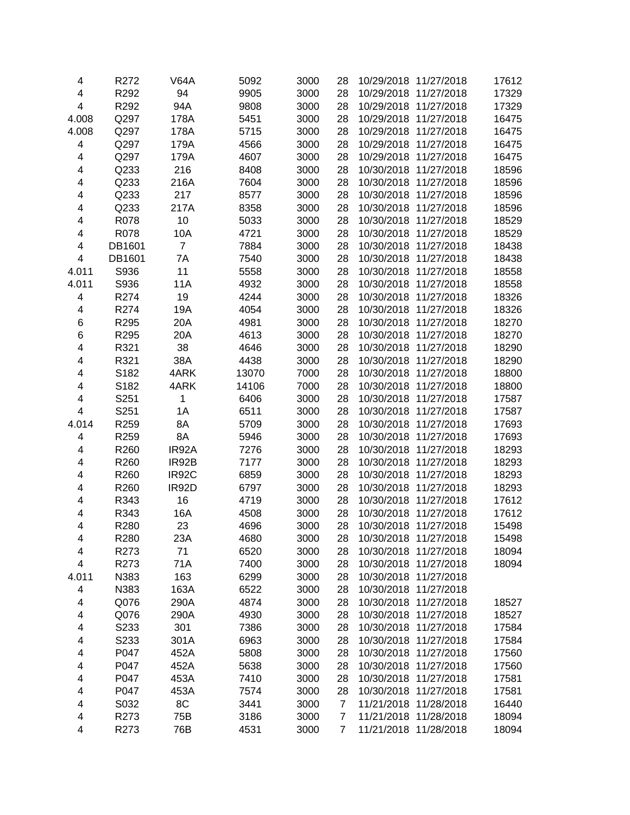| 4     | R272         | V64A           | 5092         | 3000         | 28             | 10/29/2018 11/27/2018               | 17612          |
|-------|--------------|----------------|--------------|--------------|----------------|-------------------------------------|----------------|
| 4     | R292         | 94             | 9905         | 3000         | 28             | 10/29/2018 11/27/2018               | 17329          |
| 4     | R292         | 94A            | 9808         | 3000         | 28             | 10/29/2018 11/27/2018               | 17329          |
| 4.008 | Q297         | 178A           | 5451         | 3000         | 28             | 10/29/2018<br>11/27/2018            | 16475          |
| 4.008 | Q297         | 178A           | 5715         | 3000         | 28             | 10/29/2018 11/27/2018               | 16475          |
| 4     | Q297         | 179A           | 4566         | 3000         | 28             | 10/29/2018 11/27/2018               | 16475          |
| 4     | Q297         | 179A           | 4607         | 3000         | 28             | 10/29/2018 11/27/2018               | 16475          |
| 4     | Q233         | 216            | 8408         | 3000         | 28             | 10/30/2018 11/27/2018               | 18596          |
| 4     | Q233         | 216A           | 7604         | 3000         | 28             | 10/30/2018 11/27/2018               | 18596          |
| 4     | Q233         | 217            | 8577         | 3000         | 28             | 10/30/2018 11/27/2018               | 18596          |
| 4     | Q233         | 217A           | 8358         | 3000         | 28             | 10/30/2018 11/27/2018               | 18596          |
| 4     | R078         | 10             | 5033         | 3000         | 28             | 10/30/2018 11/27/2018               | 18529          |
| 4     | R078         | 10A            | 4721         | 3000         | 28             | 10/30/2018 11/27/2018               | 18529          |
| 4     | DB1601       | $\overline{7}$ | 7884         | 3000         | 28             | 10/30/2018 11/27/2018               | 18438          |
| 4     | DB1601       | 7A             | 7540         | 3000         | 28             | 10/30/2018 11/27/2018               | 18438          |
| 4.011 | S936         | 11             | 5558         | 3000         | 28             | 10/30/2018 11/27/2018               | 18558          |
| 4.011 | S936         | 11A            | 4932         | 3000         | 28             | 10/30/2018 11/27/2018               | 18558          |
| 4     | R274         | 19             | 4244         | 3000         | 28             | 10/30/2018 11/27/2018               | 18326          |
| 4     | R274         | 19A            | 4054         | 3000         | 28             | 10/30/2018 11/27/2018               | 18326          |
| 6     | R295         | 20A            | 4981         | 3000         | 28             | 10/30/2018 11/27/2018               | 18270          |
| 6     | R295         | 20A            | 4613         | 3000         | 28             | 11/27/2018<br>10/30/2018            | 18270          |
| 4     | R321         | 38             | 4646         | 3000         | 28             | 10/30/2018<br>11/27/2018            | 18290          |
| 4     | R321         | 38A            | 4438         | 3000         | 28             | 10/30/2018<br>11/27/2018            | 18290          |
| 4     | S182         | 4ARK           | 13070        | 7000         | 28             | 10/30/2018 11/27/2018               | 18800          |
| 4     | S182         | 4ARK           | 14106        | 7000         | 28             | 10/30/2018 11/27/2018               | 18800          |
| 4     | S251         | 1              | 6406         | 3000         | 28             | 10/30/2018 11/27/2018               | 17587          |
| 4     | S251         | 1A             | 6511         | 3000         | 28             | 10/30/2018 11/27/2018               | 17587          |
| 4.014 | R259         | 8A             | 5709         | 3000         | 28             | 10/30/2018 11/27/2018               | 17693          |
| 4     | R259         | 8A             | 5946         | 3000         | 28             | 10/30/2018 11/27/2018               | 17693          |
| 4     | R260         | IR92A          | 7276         | 3000         | 28             | 10/30/2018 11/27/2018               | 18293          |
| 4     | R260         | IR92B          | 7177         | 3000         | 28             | 10/30/2018 11/27/2018               | 18293          |
| 4     | R260         | IR92C          | 6859         | 3000         | 28             | 10/30/2018 11/27/2018               | 18293          |
| 4     | R260         | IR92D          | 6797         | 3000         | 28             | 10/30/2018 11/27/2018               | 18293          |
| 4     | R343         | 16             | 4719         | 3000         | 28             | 10/30/2018 11/27/2018               |                |
| 4     |              |                |              |              |                | 10/30/2018 11/27/2018               | 17612          |
| 4     | R343<br>R280 | 16A            | 4508<br>4696 | 3000<br>3000 | 28<br>28       | 10/30/2018 11/27/2018               | 17612<br>15498 |
|       | R280         | 23             |              |              |                |                                     |                |
| 4     |              | 23A            | 4680         | 3000         | 28             | 10/30/2018 11/27/2018<br>11/27/2018 | 15498          |
| 4     | R273         | 71             | 6520         | 3000         | 28             | 10/30/2018                          | 18094          |
| 4     | R273         | 71A            | 7400         | 3000         | 28             | 10/30/2018 11/27/2018               | 18094          |
| 4.011 | N383         | 163            | 6299         | 3000         | 28             | 10/30/2018 11/27/2018               |                |
| 4     | N383         | 163A           | 6522         | 3000         | 28             | 10/30/2018 11/27/2018               |                |
| 4     | Q076         | 290A           | 4874         | 3000         | 28             | 10/30/2018 11/27/2018               | 18527          |
| 4     | Q076         | 290A           | 4930         | 3000         | 28             | 10/30/2018 11/27/2018               | 18527          |
| 4     | S233         | 301            | 7386         | 3000         | 28             | 10/30/2018 11/27/2018               | 17584          |
| 4     | S233         | 301A           | 6963         | 3000         | 28             | 10/30/2018 11/27/2018               | 17584          |
| 4     | P047         | 452A           | 5808         | 3000         | 28             | 10/30/2018 11/27/2018               | 17560          |
| 4     | P047         | 452A           | 5638         | 3000         | 28             | 10/30/2018 11/27/2018               | 17560          |
| 4     | P047         | 453A           | 7410         | 3000         | 28             | 10/30/2018 11/27/2018               | 17581          |
| 4     | P047         | 453A           | 7574         | 3000         | 28             | 10/30/2018 11/27/2018               | 17581          |
| 4     | S032         | 8C             | 3441         | 3000         | $\overline{7}$ | 11/21/2018 11/28/2018               | 16440          |
| 4     | R273         | 75B            | 3186         | 3000         | 7              | 11/21/2018 11/28/2018               | 18094          |
| 4     | R273         | 76B            | 4531         | 3000         | 7              | 11/21/2018 11/28/2018               | 18094          |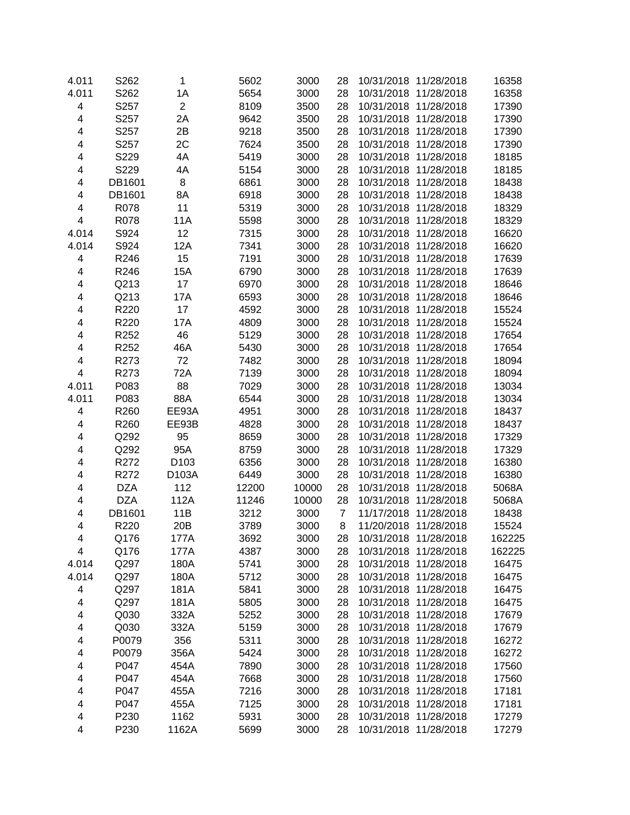| 4.011 | S <sub>262</sub> | $\mathbf{1}$     | 5602  | 3000  | 28             | 10/31/2018 11/28/2018 | 16358  |
|-------|------------------|------------------|-------|-------|----------------|-----------------------|--------|
| 4.011 | S262             | 1A               | 5654  | 3000  | 28             | 10/31/2018 11/28/2018 | 16358  |
| 4     | S257             | $\overline{2}$   | 8109  | 3500  | 28             | 10/31/2018 11/28/2018 | 17390  |
| 4     | S257             | 2A               | 9642  | 3500  | 28             | 10/31/2018 11/28/2018 | 17390  |
| 4     | S257             | 2B               | 9218  | 3500  | 28             | 10/31/2018 11/28/2018 | 17390  |
| 4     | S257             | 2C               | 7624  | 3500  | 28             | 10/31/2018 11/28/2018 | 17390  |
| 4     | S229             | 4A               | 5419  | 3000  | 28             | 10/31/2018 11/28/2018 | 18185  |
| 4     | S229             | 4A               | 5154  | 3000  | 28             | 10/31/2018 11/28/2018 | 18185  |
| 4     | DB1601           | 8                | 6861  | 3000  | 28             | 10/31/2018 11/28/2018 | 18438  |
| 4     | DB1601           | 8A               | 6918  | 3000  | 28             | 10/31/2018 11/28/2018 | 18438  |
| 4     | R078             | 11               | 5319  | 3000  | 28             | 10/31/2018 11/28/2018 | 18329  |
| 4     | R078             | 11A              | 5598  | 3000  | 28             | 10/31/2018 11/28/2018 | 18329  |
| 4.014 | S924             | 12               | 7315  | 3000  | 28             | 10/31/2018 11/28/2018 | 16620  |
| 4.014 | S924             | 12A              | 7341  | 3000  | 28             | 10/31/2018 11/28/2018 | 16620  |
| 4     | R246             | 15               | 7191  | 3000  | 28             | 10/31/2018 11/28/2018 | 17639  |
| 4     | R246             | 15A              | 6790  | 3000  | 28             | 10/31/2018 11/28/2018 | 17639  |
| 4     | Q213             | 17               | 6970  | 3000  | 28             | 10/31/2018 11/28/2018 | 18646  |
|       |                  |                  |       |       |                | 10/31/2018 11/28/2018 |        |
| 4     | Q213             | 17A              | 6593  | 3000  | 28             |                       | 18646  |
| 4     | R220             | 17               | 4592  | 3000  | 28             | 10/31/2018 11/28/2018 | 15524  |
| 4     | R220             | 17A              | 4809  | 3000  | 28             | 10/31/2018 11/28/2018 | 15524  |
| 4     | R252             | 46               | 5129  | 3000  | 28             | 10/31/2018 11/28/2018 | 17654  |
| 4     | R252             | 46A              | 5430  | 3000  | 28             | 10/31/2018 11/28/2018 | 17654  |
| 4     | R273             | 72               | 7482  | 3000  | 28             | 10/31/2018 11/28/2018 | 18094  |
| 4     | R273             | 72A              | 7139  | 3000  | 28             | 10/31/2018 11/28/2018 | 18094  |
| 4.011 | P083             | 88               | 7029  | 3000  | 28             | 10/31/2018 11/28/2018 | 13034  |
| 4.011 | P083             | 88A              | 6544  | 3000  | 28             | 10/31/2018 11/28/2018 | 13034  |
| 4     | R260             | EE93A            | 4951  | 3000  | 28             | 10/31/2018 11/28/2018 | 18437  |
| 4     | R260             | EE93B            | 4828  | 3000  | 28             | 10/31/2018 11/28/2018 | 18437  |
| 4     | Q292             | 95               | 8659  | 3000  | 28             | 10/31/2018 11/28/2018 | 17329  |
| 4     | Q292             | 95A              | 8759  | 3000  | 28             | 10/31/2018 11/28/2018 | 17329  |
| 4     | R272             | D <sub>103</sub> | 6356  | 3000  | 28             | 10/31/2018 11/28/2018 | 16380  |
| 4     | R272             | D103A            | 6449  | 3000  | 28             | 10/31/2018 11/28/2018 | 16380  |
| 4     | <b>DZA</b>       | 112              | 12200 | 10000 | 28             | 10/31/2018 11/28/2018 | 5068A  |
| 4     | <b>DZA</b>       | 112A             | 11246 | 10000 | 28             | 10/31/2018 11/28/2018 | 5068A  |
| 4     | DB1601           | 11B              | 3212  | 3000  | $\overline{7}$ | 11/17/2018 11/28/2018 | 18438  |
| 4     | R220             | 20 <sub>B</sub>  | 3789  | 3000  | 8              | 11/20/2018 11/28/2018 | 15524  |
| 4     | Q176             | 177A             | 3692  | 3000  | 28             | 10/31/2018 11/28/2018 | 162225 |
| 4     | Q176             | 177A             | 4387  | 3000  | 28             | 10/31/2018 11/28/2018 | 162225 |
| 4.014 | Q297             | 180A             | 5741  | 3000  | 28             | 10/31/2018 11/28/2018 | 16475  |
| 4.014 | Q297             | 180A             | 5712  | 3000  | 28             | 10/31/2018 11/28/2018 | 16475  |
| 4     | Q297             | 181A             | 5841  | 3000  | 28             | 10/31/2018 11/28/2018 | 16475  |
| 4     | Q297             | 181A             | 5805  | 3000  | 28             | 10/31/2018 11/28/2018 | 16475  |
| 4     | Q030             | 332A             | 5252  | 3000  | 28             | 10/31/2018 11/28/2018 | 17679  |
| 4     | Q030             | 332A             | 5159  | 3000  | 28             | 10/31/2018 11/28/2018 | 17679  |
| 4     | P0079            | 356              | 5311  | 3000  | 28             | 10/31/2018 11/28/2018 | 16272  |
| 4     | P0079            | 356A             | 5424  | 3000  | 28             | 10/31/2018 11/28/2018 | 16272  |
| 4     | P047             | 454A             | 7890  | 3000  | 28             | 10/31/2018 11/28/2018 | 17560  |
| 4     | P047             | 454A             | 7668  | 3000  | 28             | 10/31/2018 11/28/2018 | 17560  |
| 4     | P047             | 455A             | 7216  | 3000  | 28             | 10/31/2018 11/28/2018 | 17181  |
| 4     | P047             | 455A             |       | 3000  |                | 10/31/2018 11/28/2018 |        |
| 4     | P230             | 1162             | 7125  |       | 28             | 10/31/2018 11/28/2018 | 17181  |
|       |                  |                  | 5931  | 3000  | 28             |                       | 17279  |
| 4     | P230             | 1162A            | 5699  | 3000  | 28             | 10/31/2018 11/28/2018 | 17279  |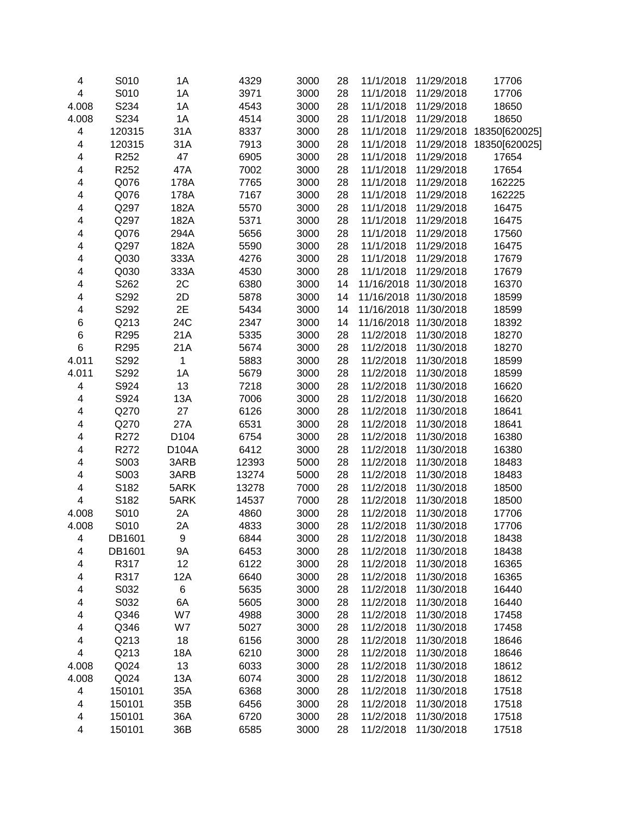| 4                       | S010   | 1A               | 4329          | 3000 | 28 | 11/1/2018  | 11/29/2018 | 17706          |
|-------------------------|--------|------------------|---------------|------|----|------------|------------|----------------|
| $\overline{\mathbf{4}}$ | S010   | 1A               | 3971          | 3000 | 28 | 11/1/2018  | 11/29/2018 | 17706          |
| 4.008                   | S234   | 1A               | 4543          | 3000 | 28 | 11/1/2018  | 11/29/2018 | 18650          |
| 4.008                   | S234   | 1A               | 4514          | 3000 | 28 | 11/1/2018  | 11/29/2018 | 18650          |
| 4                       | 120315 | 31A              | 8337          | 3000 | 28 | 11/1/2018  | 11/29/2018 | 18350[620025]  |
| 4                       | 120315 | 31A              | 7913          | 3000 | 28 | 11/1/2018  | 11/29/2018 | 18350[620025]  |
| 4                       | R252   | 47               | 6905          | 3000 | 28 | 11/1/2018  | 11/29/2018 | 17654          |
| 4                       | R252   | 47A              | 7002          | 3000 | 28 | 11/1/2018  | 11/29/2018 | 17654          |
| 4                       | Q076   | 178A             | 7765          | 3000 | 28 | 11/1/2018  | 11/29/2018 | 162225         |
| 4                       | Q076   | 178A             | 7167          | 3000 | 28 | 11/1/2018  | 11/29/2018 | 162225         |
| 4                       | Q297   | 182A             | 5570          | 3000 | 28 | 11/1/2018  | 11/29/2018 | 16475          |
| 4                       | Q297   | 182A             | 5371          | 3000 | 28 | 11/1/2018  | 11/29/2018 | 16475          |
| 4                       | Q076   | 294A             | 5656          | 3000 | 28 | 11/1/2018  | 11/29/2018 | 17560          |
| 4                       | Q297   | 182A             | 5590          | 3000 | 28 | 11/1/2018  | 11/29/2018 | 16475          |
| 4                       | Q030   | 333A             | 4276          | 3000 | 28 | 11/1/2018  | 11/29/2018 | 17679          |
| 4                       | Q030   | 333A             | 4530          | 3000 | 28 | 11/1/2018  | 11/29/2018 | 17679          |
| 4                       | S262   | 2C               | 6380          | 3000 | 14 | 11/16/2018 | 11/30/2018 | 16370          |
| 4                       | S292   | 2D               | 5878          | 3000 | 14 | 11/16/2018 | 11/30/2018 | 18599          |
| 4                       | S292   | 2E               | 5434          | 3000 | 14 | 11/16/2018 | 11/30/2018 | 18599          |
| 6                       | Q213   | 24C              | 2347          | 3000 | 14 | 11/16/2018 | 11/30/2018 | 18392          |
| 6                       | R295   | 21A              | 5335          | 3000 | 28 | 11/2/2018  | 11/30/2018 | 18270          |
| $\,6$                   | R295   | 21A              | 5674          | 3000 | 28 | 11/2/2018  | 11/30/2018 | 18270          |
| 4.011                   | S292   | 1                | 5883          | 3000 | 28 | 11/2/2018  | 11/30/2018 | 18599          |
| 4.011                   | S292   | 1A               | 5679          | 3000 | 28 | 11/2/2018  | 11/30/2018 | 18599          |
| 4                       | S924   | 13               | 7218          | 3000 | 28 | 11/2/2018  | 11/30/2018 | 16620          |
| 4                       | S924   | 13A              | 7006          | 3000 | 28 | 11/2/2018  | 11/30/2018 | 16620          |
| 4                       | Q270   | 27               | 6126          | 3000 | 28 | 11/2/2018  | 11/30/2018 | 18641          |
| 4                       | Q270   | 27A              | 6531          | 3000 | 28 | 11/2/2018  | 11/30/2018 | 18641          |
| 4                       | R272   | D <sub>104</sub> | 6754          | 3000 | 28 | 11/2/2018  | 11/30/2018 | 16380          |
| 4                       | R272   | D104A            | 6412          | 3000 | 28 | 11/2/2018  | 11/30/2018 | 16380          |
| 4                       | S003   | 3ARB             | 12393         | 5000 | 28 | 11/2/2018  | 11/30/2018 | 18483          |
| 4                       | S003   | 3ARB             | 13274         | 5000 | 28 | 11/2/2018  | 11/30/2018 | 18483          |
| 4                       | S182   | 5ARK             | 13278         | 7000 | 28 | 11/2/2018  | 11/30/2018 | 18500          |
| 4                       | S182   | 5ARK             |               | 7000 | 28 | 11/2/2018  | 11/30/2018 | 18500          |
|                         | S010   | 2A               | 14537<br>4860 | 3000 | 28 | 11/2/2018  | 11/30/2018 |                |
| 4.008                   | S010   | 2A               |               | 3000 | 28 |            |            | 17706<br>17706 |
| 4.008                   |        |                  | 4833          |      |    | 11/2/2018  | 11/30/2018 | 18438          |
| 4                       | DB1601 | 9                | 6844          | 3000 | 28 | 11/2/2018  | 11/30/2018 |                |
| 4                       | DB1601 | 9A               | 6453          | 3000 | 28 | 11/2/2018  | 11/30/2018 | 18438          |
| 4                       | R317   | 12               | 6122          | 3000 | 28 | 11/2/2018  | 11/30/2018 | 16365          |
| 4                       | R317   | 12A              | 6640          | 3000 | 28 | 11/2/2018  | 11/30/2018 | 16365          |
| 4                       | S032   | 6                | 5635          | 3000 | 28 | 11/2/2018  | 11/30/2018 | 16440          |
| 4                       | S032   | 6A               | 5605          | 3000 | 28 | 11/2/2018  | 11/30/2018 | 16440          |
| 4                       | Q346   | W7               | 4988          | 3000 | 28 | 11/2/2018  | 11/30/2018 | 17458          |
| 4                       | Q346   | W7               | 5027          | 3000 | 28 | 11/2/2018  | 11/30/2018 | 17458          |
| 4                       | Q213   | 18               | 6156          | 3000 | 28 | 11/2/2018  | 11/30/2018 | 18646          |
| 4                       | Q213   | 18A              | 6210          | 3000 | 28 | 11/2/2018  | 11/30/2018 | 18646          |
| 4.008                   | Q024   | 13               | 6033          | 3000 | 28 | 11/2/2018  | 11/30/2018 | 18612          |
| 4.008                   | Q024   | 13A              | 6074          | 3000 | 28 | 11/2/2018  | 11/30/2018 | 18612          |
| 4                       | 150101 | 35A              | 6368          | 3000 | 28 | 11/2/2018  | 11/30/2018 | 17518          |
| 4                       | 150101 | 35B              | 6456          | 3000 | 28 | 11/2/2018  | 11/30/2018 | 17518          |
| 4                       | 150101 | 36A              | 6720          | 3000 | 28 | 11/2/2018  | 11/30/2018 | 17518          |
| 4                       | 150101 | 36B              | 6585          | 3000 | 28 | 11/2/2018  | 11/30/2018 | 17518          |